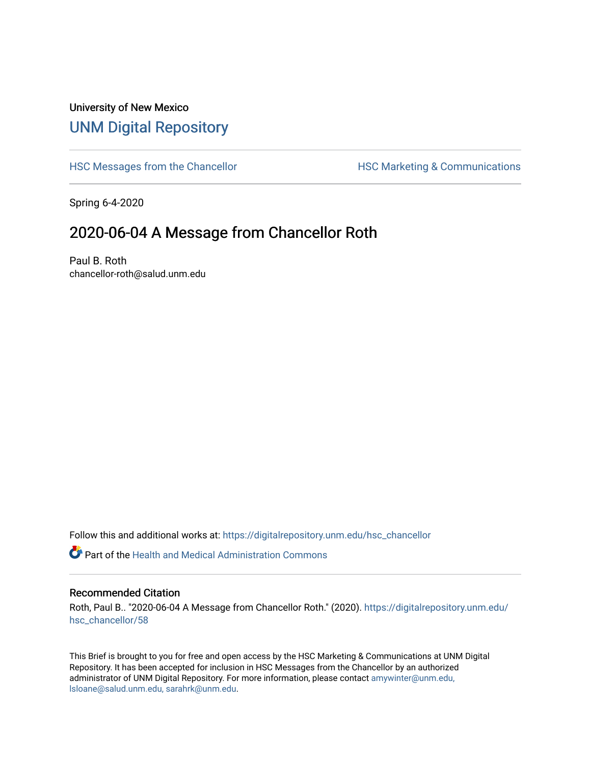## University of New Mexico [UNM Digital Repository](https://digitalrepository.unm.edu/)

[HSC Messages from the Chancellor](https://digitalrepository.unm.edu/hsc_chancellor) **HSC Marketing & Communications** 

Spring 6-4-2020

## 2020-06-04 A Message from Chancellor Roth

Paul B. Roth chancellor-roth@salud.unm.edu

Follow this and additional works at: [https://digitalrepository.unm.edu/hsc\\_chancellor](https://digitalrepository.unm.edu/hsc_chancellor?utm_source=digitalrepository.unm.edu%2Fhsc_chancellor%2F58&utm_medium=PDF&utm_campaign=PDFCoverPages) 

 $\bullet$  Part of the [Health and Medical Administration Commons](http://network.bepress.com/hgg/discipline/663?utm_source=digitalrepository.unm.edu%2Fhsc_chancellor%2F58&utm_medium=PDF&utm_campaign=PDFCoverPages)

## Recommended Citation

Roth, Paul B.. "2020-06-04 A Message from Chancellor Roth." (2020). [https://digitalrepository.unm.edu/](https://digitalrepository.unm.edu/hsc_chancellor/58?utm_source=digitalrepository.unm.edu%2Fhsc_chancellor%2F58&utm_medium=PDF&utm_campaign=PDFCoverPages) [hsc\\_chancellor/58](https://digitalrepository.unm.edu/hsc_chancellor/58?utm_source=digitalrepository.unm.edu%2Fhsc_chancellor%2F58&utm_medium=PDF&utm_campaign=PDFCoverPages) 

This Brief is brought to you for free and open access by the HSC Marketing & Communications at UNM Digital Repository. It has been accepted for inclusion in HSC Messages from the Chancellor by an authorized administrator of UNM Digital Repository. For more information, please contact [amywinter@unm.edu,](mailto:amywinter@unm.edu,%20lsloane@salud.unm.edu,%20sarahrk@unm.edu) [lsloane@salud.unm.edu, sarahrk@unm.edu.](mailto:amywinter@unm.edu,%20lsloane@salud.unm.edu,%20sarahrk@unm.edu)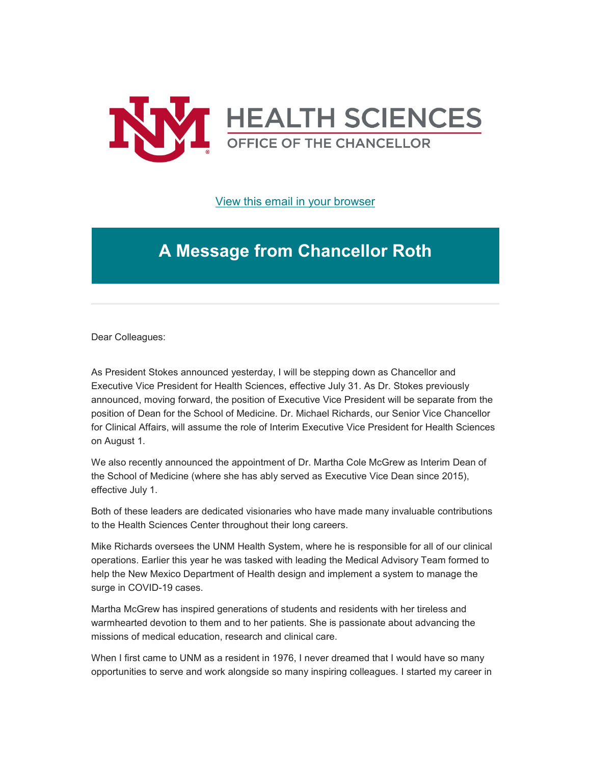

[View this email in your browser](https://mailchi.mp/6e0c203f43ce/message-from-the-chancellor-coronavirus-4429816?e=b4bbfca2c0)

## **A Message from Chancellor Roth**

Dear Colleagues:

As President Stokes announced yesterday, I will be stepping down as Chancellor and Executive Vice President for Health Sciences, effective July 31. As Dr. Stokes previously announced, moving forward, the position of Executive Vice President will be separate from the position of Dean for the School of Medicine. Dr. Michael Richards, our Senior Vice Chancellor for Clinical Affairs, will assume the role of Interim Executive Vice President for Health Sciences on August 1.

We also recently announced the appointment of Dr. Martha Cole McGrew as Interim Dean of the School of Medicine (where she has ably served as Executive Vice Dean since 2015), effective July 1.

Both of these leaders are dedicated visionaries who have made many invaluable contributions to the Health Sciences Center throughout their long careers.

Mike Richards oversees the UNM Health System, where he is responsible for all of our clinical operations. Earlier this year he was tasked with leading the Medical Advisory Team formed to help the New Mexico Department of Health design and implement a system to manage the surge in COVID-19 cases.

Martha McGrew has inspired generations of students and residents with her tireless and warmhearted devotion to them and to her patients. She is passionate about advancing the missions of medical education, research and clinical care.

When I first came to UNM as a resident in 1976, I never dreamed that I would have so many opportunities to serve and work alongside so many inspiring colleagues. I started my career in